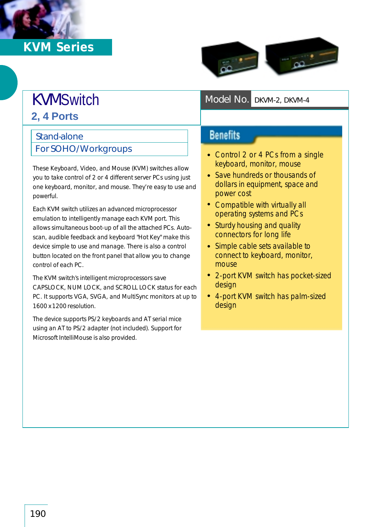## *KVM Series*



## KVMSwitch *Model No. DKVM-2, DKVM-4* **2, 4 Ports**

## Stand-alone

For SOHO/Workgroups

These Keyboard, Video, and Mouse (KVM) switches allow you to take control of 2 or 4 different server PCs using just one keyboard, monitor, and mouse. They're easy to use and powerful.

Each KVM switch utilizes an advanced microprocessor emulation to intelligently manage each KVM port. This allows simultaneous boot-up of all the attached PCs. Autoscan, audible feedback and keyboard "Hot Key" make this device simple to use and manage. There is also a control button located on the front panel that allow you to change control of each PC.

The KVM switch's intelligent microprocessors save CAPSLOCK, NUM LOCK, and SCROLL LOCK status for each PC. It supports VGA, SVGA, and MultiSync monitors at up to 1600 x 1200 resolution.

The device supports PS/2 keyboards and AT serial mice using an AT to PS/2 adapter (not included). Support for Microsoft IntelliMouse is also provided.

**Benefits** 

- Control 2 or 4 PCs from a single keyboard, monitor, mouse
- Save hundreds or thousands of dollars in equipment, space and power cost
- Compatible with virtually all operating systems and PCs
- Sturdy housing and quality connectors for long life
- Simple cable sets available to connect to keyboard, monitor, mouse
- 2-port KVM switch has pocket-sized design
- 4-port KVM switch has palm-sized design